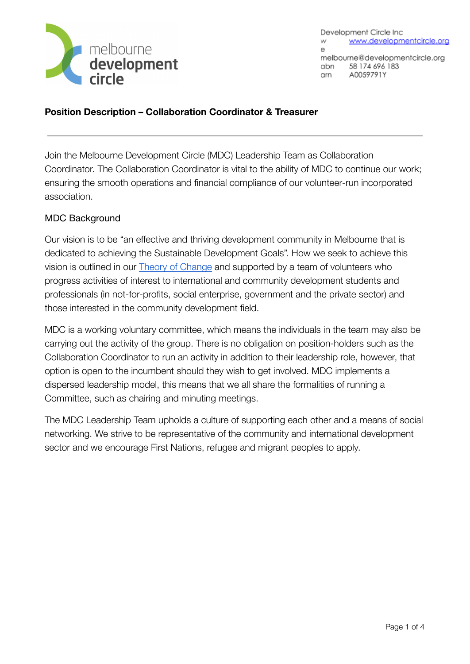

Development Circle Inc. www.developmentcircle.org w  $\Theta$ melbourne@developmentcircle.org 58 174 696 183 abn A0059791Y arn

**Position Description – Collaboration Coordinator & Treasurer**

Join the Melbourne Development Circle (MDC) Leadership Team as Collaboration Coordinator. The Collaboration Coordinator is vital to the ability of MDC to continue our work; ensuring the smooth operations and financial compliance of our volunteer-run incorporated association.

## MDC Background

Our vision is to be "an effective and thriving development community in Melbourne that is dedicated to achieving the Sustainable Development Goals". How we seek to achieve this vision is outlined in our [Theory of Change](https://developmentcircle.files.wordpress.com/2019/03/mdc-toc-v2.1.pdf) and supported by a team of volunteers who progress activities of interest to international and community development students and professionals (in not-for-profits, social enterprise, government and the private sector) and those interested in the community development field.

MDC is a working voluntary committee, which means the individuals in the team may also be carrying out the activity of the group. There is no obligation on position-holders such as the Collaboration Coordinator to run an activity in addition to their leadership role, however, that option is open to the incumbent should they wish to get involved. MDC implements a dispersed leadership model, this means that we all share the formalities of running a Committee, such as chairing and minuting meetings.

The MDC Leadership Team upholds a culture of supporting each other and a means of social networking. We strive to be representative of the community and international development sector and we encourage First Nations, refugee and migrant peoples to apply.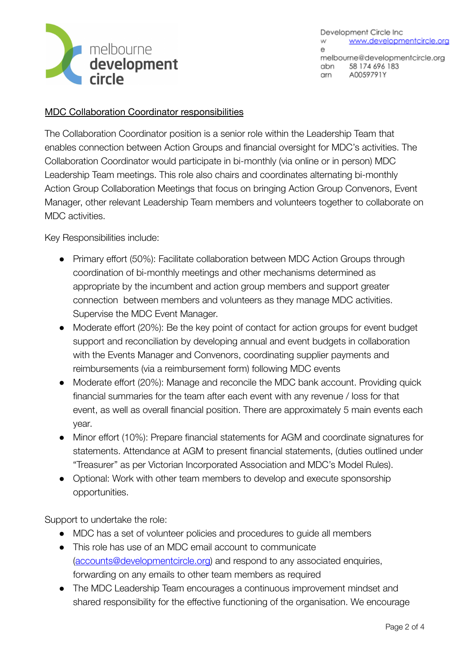

Development Circle Inc. www.developmentcircle.org w  $\Theta$ melbourne@developmentcircle.org 58 174 696 183 abn A0059791Y arn

### MDC Collaboration Coordinator responsibilities

The Collaboration Coordinator position is a senior role within the Leadership Team that enables connection between Action Groups and financial oversight for MDC's activities. The Collaboration Coordinator would participate in bi-monthly (via online or in person) MDC Leadership Team meetings. This role also chairs and coordinates alternating bi-monthly Action Group Collaboration Meetings that focus on bringing Action Group Convenors, Event Manager, other relevant Leadership Team members and volunteers together to collaborate on MDC activities.

Key Responsibilities include:

- Primary effort (50%): Facilitate collaboration between MDC Action Groups through coordination of bi-monthly meetings and other mechanisms determined as appropriate by the incumbent and action group members and support greater connection between members and volunteers as they manage MDC activities. Supervise the MDC Event Manager.
- Moderate effort (20%): Be the key point of contact for action groups for event budget support and reconciliation by developing annual and event budgets in collaboration with the Events Manager and Convenors, coordinating supplier payments and reimbursements (via a reimbursement form) following MDC events
- Moderate effort (20%): Manage and reconcile the MDC bank account. Providing quick financial summaries for the team after each event with any revenue / loss for that event, as well as overall financial position. There are approximately 5 main events each year.
- Minor effort (10%): Prepare financial statements for AGM and coordinate signatures for statements. Attendance at AGM to present financial statements, (duties outlined under "Treasurer" as per Victorian Incorporated Association and MDC's Model Rules).
- Optional: Work with other team members to develop and execute sponsorship opportunities.

Support to undertake the role:

- MDC has a set of volunteer policies and procedures to quide all members
- This role has use of an MDC email account to communicate ([accounts@developmentcircle.org\)](mailto:accounts@developmentcircle.org) and respond to any associated enquiries, forwarding on any emails to other team members as required
- The MDC Leadership Team encourages a continuous improvement mindset and shared responsibility for the effective functioning of the organisation. We encourage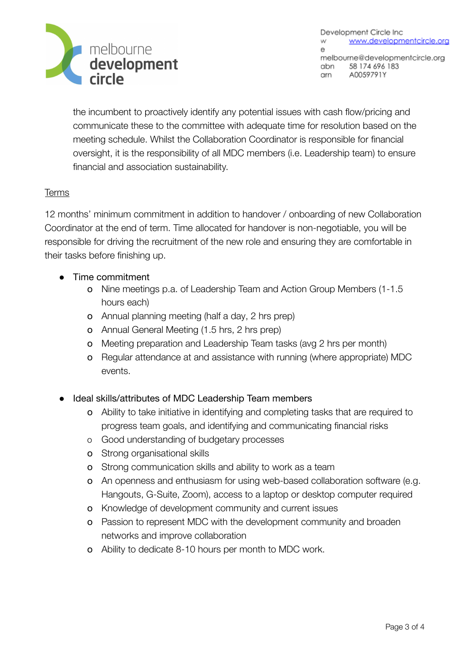

Development Circle Inc. www.developmentcircle.org w  $\Theta$ melbourne@developmentcircle.org abn 58 174 696 183 A0059791Y arn

the incumbent to proactively identify any potential issues with cash flow/pricing and communicate these to the committee with adequate time for resolution based on the meeting schedule. Whilst the Collaboration Coordinator is responsible for financial oversight, it is the responsibility of all MDC members (i.e. Leadership team) to ensure financial and association sustainability.

#### Terms

12 months' minimum commitment in addition to handover / onboarding of new Collaboration Coordinator at the end of term. Time allocated for handover is non-negotiable, you will be responsible for driving the recruitment of the new role and ensuring they are comfortable in their tasks before finishing up.

- Time commitment
	- o Nine meetings p.a. of Leadership Team and Action Group Members (1-1.5 hours each)
	- o Annual planning meeting (half a day, 2 hrs prep)
	- o Annual General Meeting (1.5 hrs, 2 hrs prep)
	- o Meeting preparation and Leadership Team tasks (avg 2 hrs per month)
	- o Regular attendance at and assistance with running (where appropriate) MDC events.
- Ideal skills/attributes of MDC Leadership Team members
	- o Ability to take initiative in identifying and completing tasks that are required to progress team goals, and identifying and communicating financial risks
	- o Good understanding of budgetary processes
	- o Strong organisational skills
	- o Strong communication skills and ability to work as a team
	- o An openness and enthusiasm for using web-based collaboration software (e.g. Hangouts, G-Suite, Zoom), access to a laptop or desktop computer required
	- o Knowledge of development community and current issues
	- o Passion to represent MDC with the development community and broaden networks and improve collaboration
	- o Ability to dedicate 8-10 hours per month to MDC work.